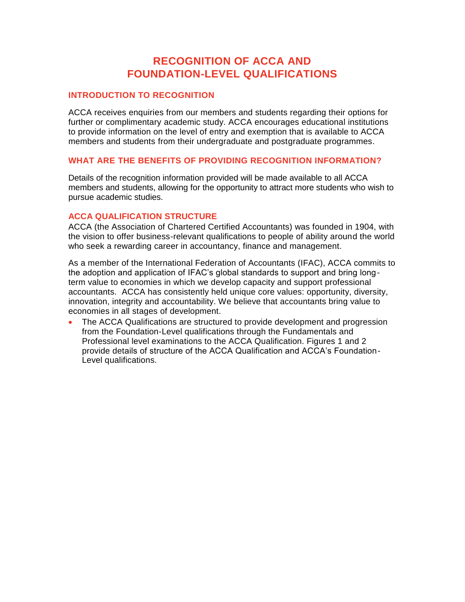# **RECOGNITION OF ACCA AND FOUNDATION-LEVEL QUALIFICATIONS**

# **INTRODUCTION TO RECOGNITION**

ACCA receives enquiries from our members and students regarding their options for further or complimentary academic study. ACCA encourages educational institutions to provide information on the level of entry and exemption that is available to ACCA members and students from their undergraduate and postgraduate programmes.

#### **WHAT ARE THE BENEFITS OF PROVIDING RECOGNITION INFORMATION?**

Details of the recognition information provided will be made available to all ACCA members and students, allowing for the opportunity to attract more students who wish to pursue academic studies.

#### **ACCA QUALIFICATION STRUCTURE**

ACCA (the Association of Chartered Certified Accountants) was founded in 1904, with the vision to offer business-relevant qualifications to people of ability around the world who seek a rewarding career in accountancy, finance and management.

As a member of the International Federation of Accountants (IFAC), ACCA commits to the adoption and application of IFAC's global standards to support and bring longterm value to economies in which we develop capacity and support professional accountants. ACCA has consistently held unique core values: opportunity, diversity, innovation, integrity and accountability. We believe that accountants bring value to economies in all stages of development.

 The ACCA Qualifications are structured to provide development and progression from the Foundation-Level qualifications through the Fundamentals and Professional level examinations to the ACCA Qualification. Figures 1 and 2 provide details of structure of the ACCA Qualification and ACCA's Foundation-Level qualifications.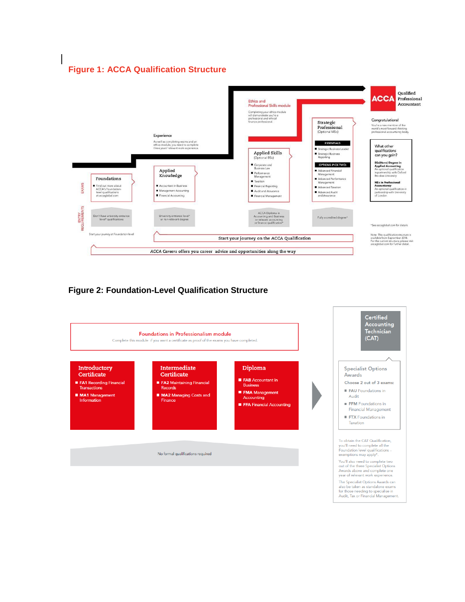# **Figure 1: ACCA Qualification Structure**



# **Figure 2: Foundation-Level Qualification Structure**

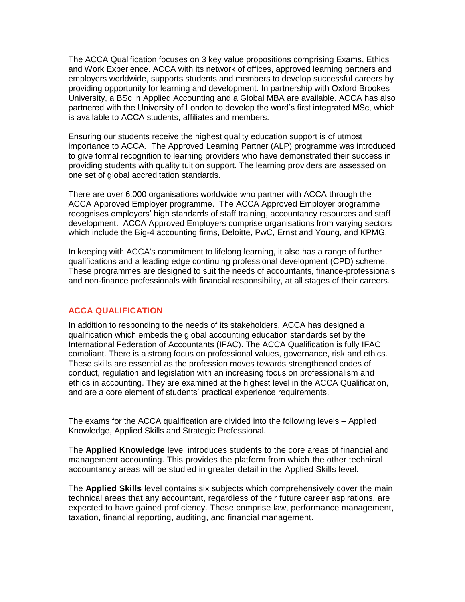The ACCA Qualification focuses on 3 key value propositions comprising Exams, Ethics and Work Experience. ACCA with its network of offices, approved learning partners and employers worldwide, supports students and members to develop successful careers by providing opportunity for learning and development. In partnership with Oxford Brookes University, a BSc in Applied Accounting and a Global MBA are available. ACCA has also partnered with the University of London to develop the word's first integrated MSc, which is available to ACCA students, affiliates and members.

Ensuring our students receive the highest quality education support is of utmost importance to ACCA. The Approved Learning Partner (ALP) programme was introduced to give formal recognition to learning providers who have demonstrated their success in providing students with quality tuition support. The learning providers are assessed on one set of global accreditation standards.

There are over 6,000 organisations worldwide who partner with ACCA through the ACCA Approved Employer programme. The ACCA Approved Employer programme recognises employers' high standards of staff training, accountancy resources and staff development. ACCA Approved Employers comprise organisations from varying sectors which include the Big-4 accounting firms, Deloitte, PwC, Ernst and Young, and KPMG.

In keeping with ACCA's commitment to lifelong learning, it also has a range of further qualifications and a leading edge continuing professional development (CPD) scheme. These programmes are designed to suit the needs of accountants, finance-professionals and non-finance professionals with financial responsibility, at all stages of their careers.

# **ACCA QUALIFICATION**

In addition to responding to the needs of its stakeholders, ACCA has designed a qualification which embeds the global accounting education standards set by the International Federation of Accountants (IFAC). The ACCA Qualification is fully IFAC compliant. There is a strong focus on professional values, governance, risk and ethics. These skills are essential as the profession moves towards strengthened codes of conduct, regulation and legislation with an increasing focus on professionalism and ethics in accounting. They are examined at the highest level in the ACCA Qualification, and are a core element of students' practical experience requirements.

The exams for the ACCA qualification are divided into the following levels – Applied Knowledge, Applied Skills and Strategic Professional.

The **Applied Knowledge** level introduces students to the core areas of financial and management accounting. This provides the platform from which the other technical accountancy areas will be studied in greater detail in the Applied Skills level.

The **Applied Skills** level contains six subjects which comprehensively cover the main technical areas that any accountant, regardless of their future career aspirations, are expected to have gained proficiency. These comprise law, performance management, taxation, financial reporting, auditing, and financial management.